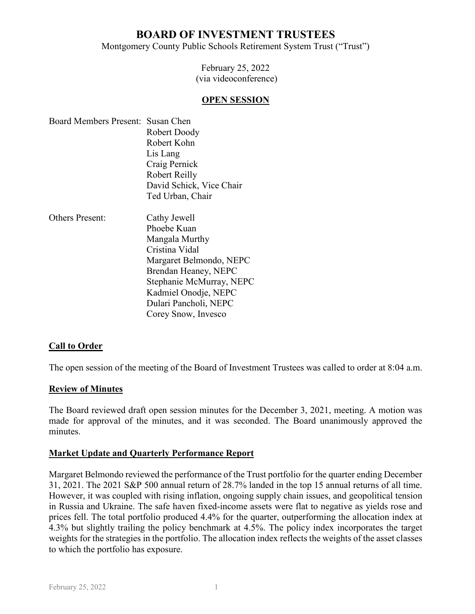# **BOARD OF INVESTMENT TRUSTEES**

Montgomery County Public Schools Retirement System Trust ("Trust")

February 25, 2022 (via videoconference)

#### **OPEN SESSION**

| Board Members Present: Susan Chen |                          |
|-----------------------------------|--------------------------|
|                                   | Robert Doody             |
|                                   | Robert Kohn              |
|                                   | Lis Lang                 |
|                                   | Craig Pernick            |
|                                   | Robert Reilly            |
|                                   | David Schick, Vice Chair |
|                                   | Ted Urban, Chair         |
|                                   |                          |

Others Present: Cathy Jewell Phoebe Kuan Mangala Murthy Cristina Vidal Margaret Belmondo, NEPC Brendan Heaney, NEPC Stephanie McMurray, NEPC Kadmiel Onodje, NEPC Dulari Pancholi, NEPC Corey Snow, Invesco

## **Call to Order**

The open session of the meeting of the Board of Investment Trustees was called to order at 8:04 a.m.

#### **Review of Minutes**

The Board reviewed draft open session minutes for the December 3, 2021, meeting. A motion was made for approval of the minutes, and it was seconded. The Board unanimously approved the minutes.

#### **Market Update and Quarterly Performance Report**

Margaret Belmondo reviewed the performance of the Trust portfolio for the quarter ending December 31, 2021. The 2021 S&P 500 annual return of 28.7% landed in the top 15 annual returns of all time. However, it was coupled with rising inflation, ongoing supply chain issues, and geopolitical tension in Russia and Ukraine. The safe haven fixed-income assets were flat to negative as yields rose and prices fell. The total portfolio produced 4.4% for the quarter, outperforming the allocation index at 4.3% but slightly trailing the policy benchmark at 4.5%. The policy index incorporates the target weights for the strategies in the portfolio. The allocation index reflects the weights of the asset classes to which the portfolio has exposure.